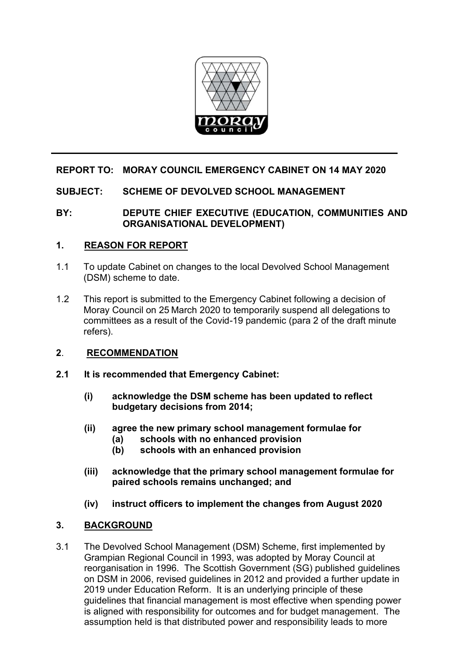

# **REPORT TO: MORAY COUNCIL EMERGENCY CABINET ON 14 MAY 2020**

### **SUBJECT: SCHEME OF DEVOLVED SCHOOL MANAGEMENT**

### **BY: DEPUTE CHIEF EXECUTIVE (EDUCATION, COMMUNITIES AND ORGANISATIONAL DEVELOPMENT)**

### **1. REASON FOR REPORT**

- 1.1 To update Cabinet on changes to the local Devolved School Management (DSM) scheme to date.
- 1.2 This report is submitted to the Emergency Cabinet following a decision of Moray Council on 25 March 2020 to temporarily suspend all delegations to committees as a result of the Covid-19 pandemic (para 2 of the draft minute refers).

### **2**. **RECOMMENDATION**

- **2.1 It is recommended that Emergency Cabinet:** 
	- **(i) acknowledge the DSM scheme has been updated to reflect budgetary decisions from 2014;**
	- **(ii) agree the new primary school management formulae for** 
		- **(a) schools with no enhanced provision**
		- **(b) schools with an enhanced provision**
	- **(iii) acknowledge that the primary school management formulae for paired schools remains unchanged; and**
	- **(iv) instruct officers to implement the changes from August 2020**

# **3. BACKGROUND**

3.1 The Devolved School Management (DSM) Scheme, first implemented by Grampian Regional Council in 1993, was adopted by Moray Council at reorganisation in 1996. The Scottish Government (SG) published guidelines on DSM in 2006, revised guidelines in 2012 and provided a further update in 2019 under Education Reform. It is an underlying principle of these guidelines that financial management is most effective when spending power is aligned with responsibility for outcomes and for budget management. The assumption held is that distributed power and responsibility leads to more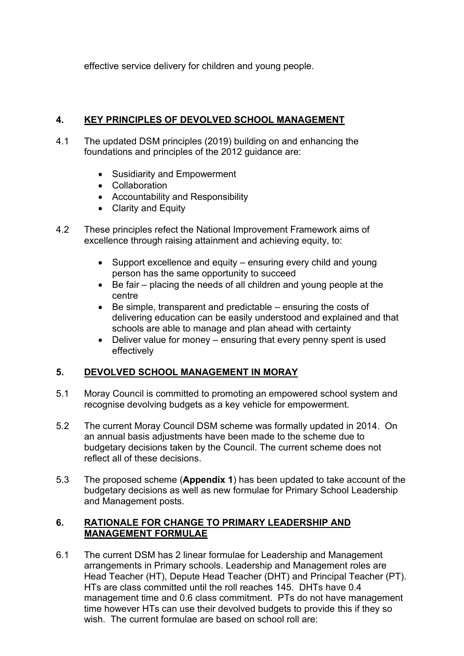effective service delivery for children and young people.

# **4. KEY PRINCIPLES OF DEVOLVED SCHOOL MANAGEMENT**

- 4.1 The updated DSM principles (2019) building on and enhancing the foundations and principles of the 2012 guidance are:
	- Susidiarity and Empowerment
	- Collaboration
	- Accountability and Responsibility
	- Clarity and Equity
- 4.2 These principles refect the National Improvement Framework aims of excellence through raising attainment and achieving equity, to:
	- Support excellence and equity ensuring every child and young person has the same opportunity to succeed
	- Be fair placing the needs of all children and young people at the centre
	- Be simple, transparent and predictable ensuring the costs of delivering education can be easily understood and explained and that schools are able to manage and plan ahead with certainty
	- Deliver value for money ensuring that every penny spent is used effectively

# **5. DEVOLVED SCHOOL MANAGEMENT IN MORAY**

- 5.1 Moray Council is committed to promoting an empowered school system and recognise devolving budgets as a key vehicle for empowerment.
- 5.2 The current Moray Council DSM scheme was formally updated in 2014. On an annual basis adjustments have been made to the scheme due to budgetary decisions taken by the Council. The current scheme does not reflect all of these decisions.
- 5.3 The proposed scheme (**Appendix 1**) has been updated to take account of the budgetary decisions as well as new formulae for Primary School Leadership and Management posts.

# **6. RATIONALE FOR CHANGE TO PRIMARY LEADERSHIP AND MANAGEMENT FORMULAE**

6.1 The current DSM has 2 linear formulae for Leadership and Management arrangements in Primary schools. Leadership and Management roles are Head Teacher (HT), Depute Head Teacher (DHT) and Principal Teacher (PT). HTs are class committed until the roll reaches 145. DHTs have 0.4 management time and 0.6 class commitment. PTs do not have management time however HTs can use their devolved budgets to provide this if they so wish. The current formulae are based on school roll are: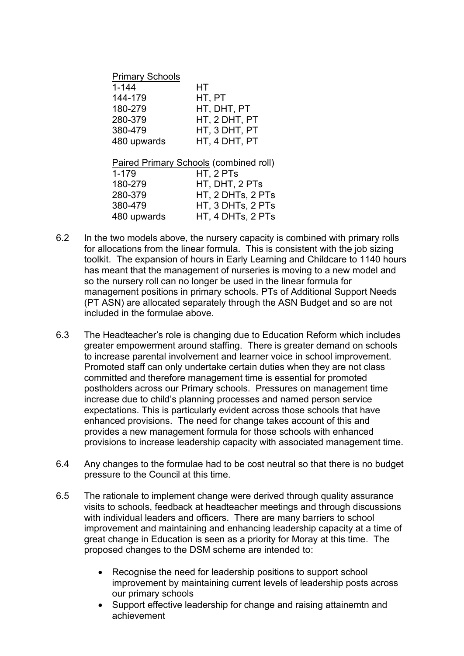| <b>Primary Schools</b> |               |
|------------------------|---------------|
| $1 - 144$              | HТ            |
| 144-179                | HT, PT        |
| 180-279                | HT, DHT, PT   |
| 280-379                | HT, 2 DHT, PT |
| 380-479                | HT, 3 DHT, PT |
| 480 upwards            | HT, 4 DHT, PT |
|                        |               |
|                        |               |

| Paired Primary Schools (combined roll) |  |  |
|----------------------------------------|--|--|
| HT, 2 PTs                              |  |  |
| HT, DHT, 2 PTs                         |  |  |
| HT, 2 DHTs, 2 PTs                      |  |  |
| HT, 3 DHTs, 2 PTs                      |  |  |
| HT, 4 DHTs, 2 PTs                      |  |  |
|                                        |  |  |

- 6.2 In the two models above, the nursery capacity is combined with primary rolls for allocations from the linear formula. This is consistent with the job sizing toolkit. The expansion of hours in Early Learning and Childcare to 1140 hours has meant that the management of nurseries is moving to a new model and so the nursery roll can no longer be used in the linear formula for management positions in primary schools. PTs of Additional Support Needs (PT ASN) are allocated separately through the ASN Budget and so are not included in the formulae above.
- 6.3 The Headteacher's role is changing due to Education Reform which includes greater empowerment around staffing. There is greater demand on schools to increase parental involvement and learner voice in school improvement. Promoted staff can only undertake certain duties when they are not class committed and therefore management time is essential for promoted postholders across our Primary schools. Pressures on management time increase due to child's planning processes and named person service expectations. This is particularly evident across those schools that have enhanced provisions. The need for change takes account of this and provides a new management formula for those schools with enhanced provisions to increase leadership capacity with associated management time.
- 6.4 Any changes to the formulae had to be cost neutral so that there is no budget pressure to the Council at this time.
- 6.5 The rationale to implement change were derived through quality assurance visits to schools, feedback at headteacher meetings and through discussions with individual leaders and officers. There are many barriers to school improvement and maintaining and enhancing leadership capacity at a time of great change in Education is seen as a priority for Moray at this time. The proposed changes to the DSM scheme are intended to:
	- Recognise the need for leadership positions to support school improvement by maintaining current levels of leadership posts across our primary schools
	- Support effective leadership for change and raising attainemtn and achievement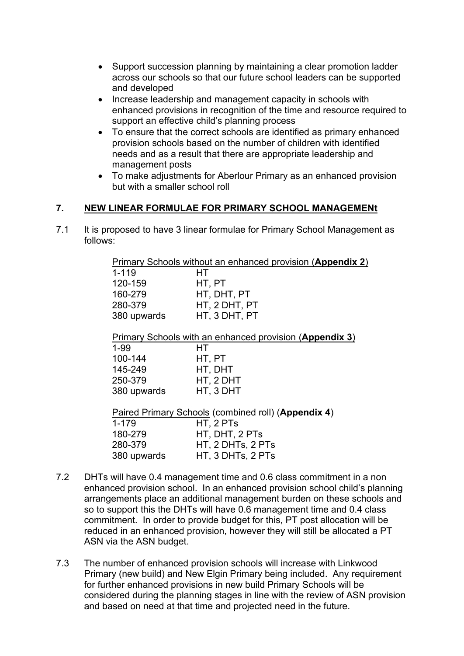- Support succession planning by maintaining a clear promotion ladder across our schools so that our future school leaders can be supported and developed
- Increase leadership and management capacity in schools with enhanced provisions in recognition of the time and resource required to support an effective child's planning process
- To ensure that the correct schools are identified as primary enhanced provision schools based on the number of children with identified needs and as a result that there are appropriate leadership and management posts
- To make adjustments for Aberlour Primary as an enhanced provision but with a smaller school roll

### **7. NEW LINEAR FORMULAE FOR PRIMARY SCHOOL MANAGEMENt**

7.1 It is proposed to have 3 linear formulae for Primary School Management as follows:

| Primary Schools without an enhanced provision (Appendix 2) |  |
|------------------------------------------------------------|--|
|                                                            |  |

| $1 - 119$   | HT            |
|-------------|---------------|
| 120-159     | HT. PT        |
| 160-279     | HT, DHT, PT   |
| 280-379     | HT, 2 DHT, PT |
| 380 upwards | HT, 3 DHT, PT |

Primary Schools with an enhanced provision (**Appendix 3**)

| 1-99        | HТ        |
|-------------|-----------|
| 100-144     | HT, PT    |
| 145-249     | HT, DHT   |
| 250-379     | HT, 2 DHT |
| 380 upwards | HT, 3 DHT |
|             |           |

 Paired Primary Schools (combined roll) (**Appendix 4**) 1-179 HT, 2 PTs 180-279 HT, DHT, 2 PTs 280-379 HT, 2 DHTs, 2 PTs 380 upwards HT, 3 DHTs, 2 PTs

- 7.2 DHTs will have 0.4 management time and 0.6 class commitment in a non enhanced provision school. In an enhanced provision school child's planning arrangements place an additional management burden on these schools and so to support this the DHTs will have 0.6 management time and 0.4 class commitment. In order to provide budget for this, PT post allocation will be reduced in an enhanced provision, however they will still be allocated a PT ASN via the ASN budget.
- 7.3 The number of enhanced provision schools will increase with Linkwood Primary (new build) and New Elgin Primary being included. Any requirement for further enhanced provisions in new build Primary Schools will be considered during the planning stages in line with the review of ASN provision and based on need at that time and projected need in the future.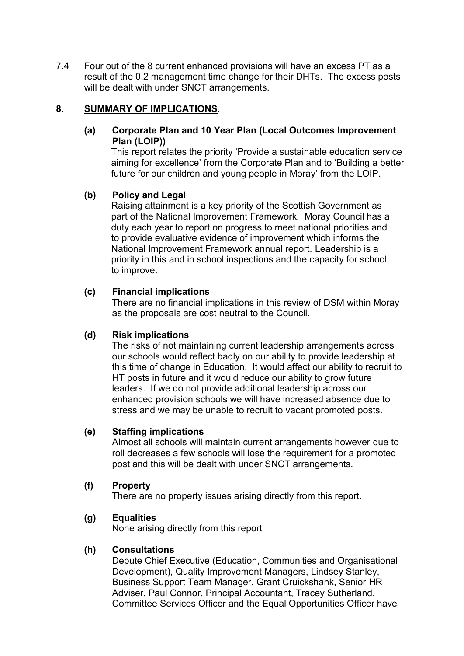7.4 Four out of the 8 current enhanced provisions will have an excess PT as a result of the 0.2 management time change for their DHTs. The excess posts will be dealt with under SNCT arrangements.

### **8. SUMMARY OF IMPLICATIONS**.

### **(a) Corporate Plan and 10 Year Plan (Local Outcomes Improvement Plan (LOIP))**

This report relates the priority 'Provide a sustainable education service aiming for excellence' from the Corporate Plan and to 'Building a better future for our children and young people in Moray' from the LOIP.

### **(b) Policy and Legal**

Raising attainment is a key priority of the Scottish Government as part of the National Improvement Framework. Moray Council has a duty each year to report on progress to meet national priorities and to provide evaluative evidence of improvement which informs the National Improvement Framework annual report. Leadership is a priority in this and in school inspections and the capacity for school to improve.

### **(c) Financial implications**

There are no financial implications in this review of DSM within Moray as the proposals are cost neutral to the Council.

### **(d) Risk implications**

The risks of not maintaining current leadership arrangements across our schools would reflect badly on our ability to provide leadership at this time of change in Education. It would affect our ability to recruit to HT posts in future and it would reduce our ability to grow future leaders. If we do not provide additional leadership across our enhanced provision schools we will have increased absence due to stress and we may be unable to recruit to vacant promoted posts.

### **(e) Staffing implications**

Almost all schools will maintain current arrangements however due to roll decreases a few schools will lose the requirement for a promoted post and this will be dealt with under SNCT arrangements.

### **(f) Property**

There are no property issues arising directly from this report.

# **(g) Equalities**

None arising directly from this report

# **(h) Consultations**

Depute Chief Executive (Education, Communities and Organisational Development), Quality Improvement Managers, Lindsey Stanley, Business Support Team Manager, Grant Cruickshank, Senior HR Adviser, Paul Connor, Principal Accountant, Tracey Sutherland, Committee Services Officer and the Equal Opportunities Officer have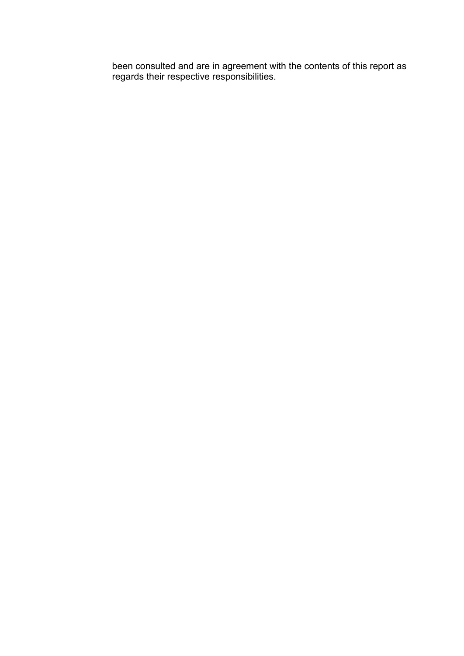been consulted and are in agreement with the contents of this report as regards their respective responsibilities.